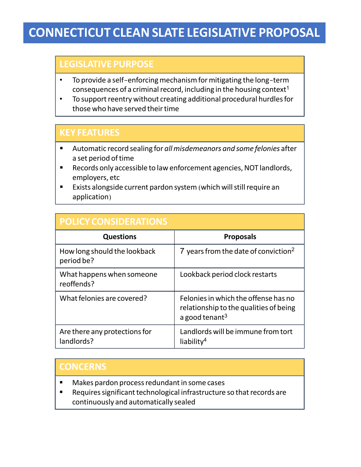# **CONNECTICUT CLEANSLATE LEGISLATIVE PROPOSAL**

### **LEGISLATIVE PURPOSE**

- To provide a self-enforcing mechanism for mitigating the long-term consequences of a criminal record, including in the housing context<sup>1</sup>
- To support reentry without creating additional procedural hurdles for those who have served their time

#### **KEY FEATURES**

- § Automatic record sealing for *allmisdemeanors and some felonies* after a set period oftime
- Records only accessible to law enforcement agencies, NOT landlords, employers, etc
- Exists alongside current pardon system (which will still require an application)

## **POLICY CONSIDERATIONS**

| <b>Questions</b>                            | <b>Proposals</b>                                                                                             |  |
|---------------------------------------------|--------------------------------------------------------------------------------------------------------------|--|
| How long should the lookback<br>period be?  | 7 years from the date of conviction <sup>2</sup>                                                             |  |
| What happens when someone<br>reoffends?     | Lookback period clock restarts                                                                               |  |
| What felonies are covered?                  | Felonies in which the offense has no<br>relationship to the qualities of being<br>a good tenant <sup>3</sup> |  |
| Are there any protections for<br>landlords? | Landlords will be immune from tort<br>liability <sup>4</sup>                                                 |  |

### **CONCERNS**

- Makes pardon process redundant in some cases
- Requires significant technological infrastructure so that records are continuously and automatically sealed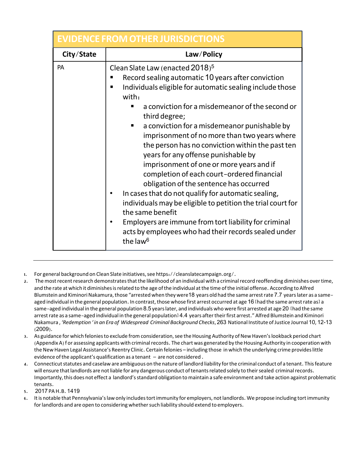| <b>EVIDENCE FROM OTHER JURISDICTIONS</b> |                                                                                                                                                                                                                                                                                                                                                                                                                                                                                                                                                                                                                                                                                                                                                                                                                                                                                      |  |
|------------------------------------------|--------------------------------------------------------------------------------------------------------------------------------------------------------------------------------------------------------------------------------------------------------------------------------------------------------------------------------------------------------------------------------------------------------------------------------------------------------------------------------------------------------------------------------------------------------------------------------------------------------------------------------------------------------------------------------------------------------------------------------------------------------------------------------------------------------------------------------------------------------------------------------------|--|
| City/State                               | Law/Policy                                                                                                                                                                                                                                                                                                                                                                                                                                                                                                                                                                                                                                                                                                                                                                                                                                                                           |  |
| PA                                       | Clean Slate Law (enacted 2018) <sup>5</sup><br>Record sealing automatic 10 years after conviction<br>Individuals eligible for automatic sealing include those<br>п<br>with:<br>a conviction for a misdemeanor of the second or<br>third degree;<br>a conviction for a misdemeanor punishable by<br>$\blacksquare$<br>imprisonment of no more than two years where<br>the person has no conviction within the past ten<br>years for any offense punishable by<br>imprisonment of one or more years and if<br>completion of each court-ordered financial<br>obligation of the sentence has occurred<br>In cases that do not qualify for automatic sealing,<br>individuals may be eligible to petition the trial court for<br>the same benefit<br>Employers are immune from tort liability for criminal<br>acts by employees who had their records sealed under<br>the law <sup>6</sup> |  |

- 1. For general background on Clean Slate initiatives, see https://cleanslatecampaign.org/.
- 2. The most recent research demonstrates that the likelihood of an individual with a criminal record reoffending diminishes over time, and the rate at which it diminishes is related to the age of the individual at the time of the initial offense. According to Alfred Blumstein and Kiminori Nakamura, those "arrested when they were 18 years old had the same arrest rate 7.7 years later as a sameaged individual in the general population. In contrast, those whose first arrest occurred at age 16 [had the same arrest rate as] a same-aged individual in the general population 8.5 years later, and individuals who were first arrested at age 20 [had the same arrest rate as a same-aged individual in the general population<sup>1</sup> 4.4 years after their first arrest." Alfred Blumstein and Kiminori Nakamura , *'Redemption ' in an Era of Widespread Criminal Background Checks*, 263 National Institute ofJustice Journal 10, 12-13 (2009).
- 3. As guidance for which felonies to exclude from consideration, see the Housing Authority of New Haven's lookback period chart (Appendix A) for assessing applicants with criminal records. The chart was generated by the Housing Authority in cooperation with the New Haven Legal Assistance's Reentry Clinic. Certain felonies – including those in which the underlying crime provides little evidence ofthe applicant's qualification as a tenant – are not considered .
- 4. Connecticut statutes and caselaw are ambiguous on the nature of landlord liability for the criminal conduct of a tenant. This feature will ensure that landlords are not liable for any dangerous conduct of tenants related solely to their sealed criminal records. Importantly,this does not effect a landlord'sstandard obligation tomaintain a safe environment and take action against problematic tenants.
- 5. 2017 PAH.B. 1419
- It is notable that Pennsylvania's law only includes tortimmunity for employers, not landlords. We propose including tortimmunity for landlords and are open to considering whether such liability should extend to employers.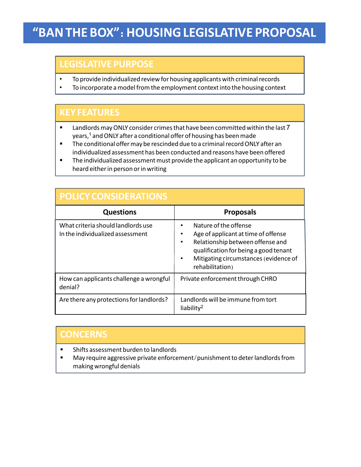# **"BANTHE BOX"**: **HOUSINGLEGISLATIVE PROPOSAL**

### **LEGISLATIVE PURPOSE**

- To provide individualized review for housing applicants with criminal records
- To incorporate a model from the employment context into the housing context

#### **KEY FEATURES**

- **E** Landlords may ONLY consider crimes that have been committed within the last 7 years,<sup>1</sup> and ONLY after a conditional offer of housing has been made
- The conditional offer may be rescinded due to a criminal record ONLY after an individualized assessment has been conducted and reasons have been offered
- **•** The individualized assessment must provide the applicant an opportunity to be heard either in person or in writing

| <b>POLICY CONSIDERATIONS</b>                                           |                                                                                                                                                                                                                      |  |
|------------------------------------------------------------------------|----------------------------------------------------------------------------------------------------------------------------------------------------------------------------------------------------------------------|--|
| <b>Questions</b>                                                       | <b>Proposals</b>                                                                                                                                                                                                     |  |
| What criteria should landlords use<br>In the individualized assessment | Nature of the offense<br>٠<br>Age of applicant at time of offense<br>٠<br>Relationship between offense and<br>٠<br>qualification for being a good tenant<br>Mitigating circumstances (evidence of<br>rehabilitation) |  |
| How can applicants challenge a wrongful<br>denial?                     | Private enforcement through CHRO                                                                                                                                                                                     |  |
| Are there any protections for landlords?                               | Landlords will be immune from tort<br>liability <sup>2</sup>                                                                                                                                                         |  |

#### **CONCERNS**

- § Shifts assessment burden to landlords
- May require aggressive private enforcement/punishment to deter landlords from making wrongful denials